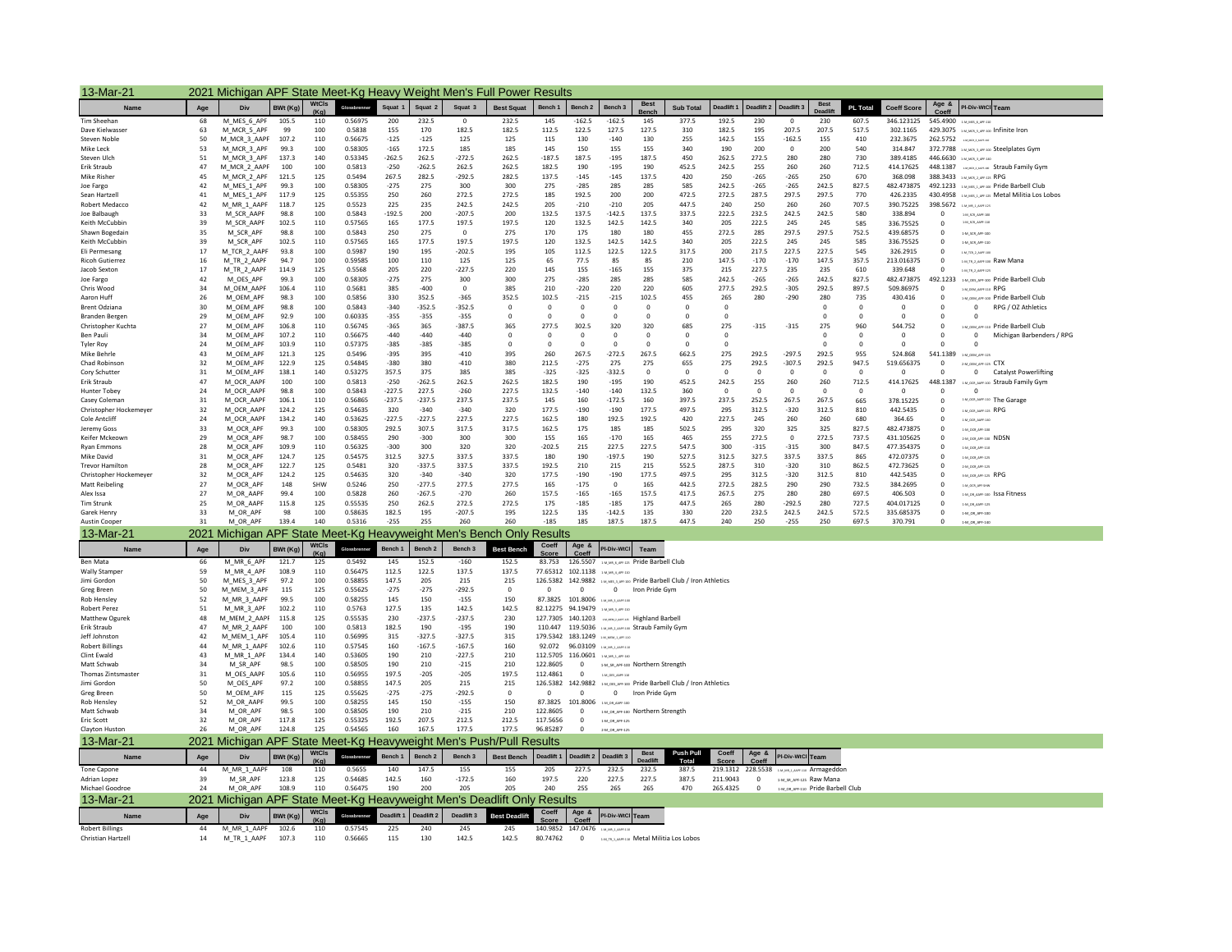| 13-Mar-21                                    | 2021 Michigan APF State Meet-Kg Heavy Weight Men's Full Power Results |                                                                         |                |                      |                    |                 |                    |                    |                      |                     |                                                                                       |                                                   |                      |                                                                       |                         |                            |                                   |                   |                   |                        |                         |                                                                                                |
|----------------------------------------------|-----------------------------------------------------------------------|-------------------------------------------------------------------------|----------------|----------------------|--------------------|-----------------|--------------------|--------------------|----------------------|---------------------|---------------------------------------------------------------------------------------|---------------------------------------------------|----------------------|-----------------------------------------------------------------------|-------------------------|----------------------------|-----------------------------------|-------------------|-------------------|------------------------|-------------------------|------------------------------------------------------------------------------------------------|
| Name                                         | Age                                                                   | Div                                                                     | BWt (Kg)       | WtCls                | Glorehrenner       | Squat 1         | Squat 2            | Squat 3            | <b>Best Squat</b>    | Bench 1             | Bench 2                                                                               | Bench <sub>3</sub>                                | <b>Best</b><br>Bench | <b>Sub Total</b>                                                      | Deadlift 1              |                            | Deadlift 2 Deadlift 3             | <b>Best</b>       | <b>PL Total</b>   | <b>Coeff Score</b>     | Age &<br>Coeff          | PI-Div-WtCl Team                                                                               |
| <b>Tim Sheehar</b>                           | 68                                                                    | M_MES_6_APF                                                             | 105.5          | (Ka)<br>110          | 0.56975            | 200             | 232.5              | $\Omega$           | 232.5                | 145                 | $-162.5$                                                                              | $-162.5$                                          | 145                  | 377.5                                                                 | 192.5                   | 230                        | $\Omega$                          | 230               | 607.5             | 346.123125             |                         | 545.4900 1-M_MES_6_APF-110                                                                     |
| Dave Kielwasser                              | 63                                                                    | M_MCR_5_APF                                                             | 99             | 100                  | 0.5838             | 155             | 170                | 182.5              | 182.5                | 112.5               | 122.5                                                                                 | 127.5                                             | 127.5                | 310                                                                   | 182.5                   | 195                        | 207.5                             | 207.5             | 517.5             | 302.1165               |                         | 429.3075 1-MUKR, 5,499-100 Infinite Iron                                                       |
| Steven Noble                                 | 50                                                                    | M_MCR_3_AAPF                                                            | 107.2          | 110                  | 0.56675            | $-125$          | $-125$             | 125                | 125                  | 115                 | 130                                                                                   | $-140$                                            | 130                  | 255                                                                   | 142.5                   | 155                        | $-162.5$                          | 155               | 410               | 232.3675               |                         | 262.5752 <b>DRUMMERS</b>                                                                       |
| Mike Leck                                    | 53                                                                    | M_MCR_3_APF                                                             | 99.3           | 100                  | 0.58305            | $-165$          | 172.5              | 185                | 185                  | 145                 | 150                                                                                   | 155                                               | 155                  | 340                                                                   | 190                     | 200                        | $\mathbf{0}$                      | 200               | 540               | 314,847                |                         | 372.7788 : M.MOR.3, APF-100 Steelplates Gym                                                    |
| Steven Ulch                                  | 51                                                                    | M_MCR_3_APF                                                             | 137.3          | 140                  | 0.53345            | $-262.5$        | 262.5              | $-272.5$           | 262.5                | $-187.5$            | 187.5                                                                                 | $-195$                                            | 187.5                | 450                                                                   | 262.5                   | 272.5                      | 280                               | 280               | 730               | 389.4185               |                         | 446.6630 SALMOR, 2, APR-140                                                                    |
| Erik Straub                                  | 47                                                                    | M_MCR_2_AAPF                                                            | 100            | 100                  | 0.5813             | $-250$          | $-262.5$           | 262.5              | 262.5                | 182.5               | 190                                                                                   | $-195$                                            | 190                  | 452.5                                                                 | 242.5                   | 255                        | 260                               | 260               | 712.5             | 414.17625              |                         | 448.1387 MARCARET Straub Family Gym                                                            |
| Mike Risher                                  | 45                                                                    | M_MCR_2_APF                                                             | 121.5          | 125                  | 0.5494             | 267.5           | 282.5              | $-292.5$           | 282.5                | 137.5               | $-145$                                                                                | $-145$                                            | 137.5                | 420                                                                   | 250                     | $-265$                     | $-265$                            | 250               | 670               | 368.098                |                         | 388.3433 EMUKRLAPFER RPG                                                                       |
| Joe Fargo<br>Sean Hartzell                   | 42<br>41                                                              | M_MES_1_APF<br>M_MES_1_APF                                              | 99.3<br>117.9  | 100<br>125           | 0.58305<br>0.55355 | $-275$<br>250   | 275<br>260         | 300<br>272.5       | 300<br>272.5         | 275<br>185          | $-285$<br>192.5                                                                       | 285<br>200                                        | 285<br>200           | 585<br>472.5                                                          | 242.5<br>272.5          | $-265$<br>287.5            | $-265$<br>297.5                   | 242.5<br>297.5    | 827.5<br>770      | 482.473875<br>426.2335 |                         | 492.1233 MARISLANG AND Pride Barbell Club<br>430.4958 EM MES 1 APR 125 Metal Militia Los Lobos |
| Robert Medacco                               | 42                                                                    | M_MR_1_AAPF                                                             | 118.7          | 125                  | 0.5523             | 225             | 235                | 242.5              | 242.5                | 205                 | $-210$                                                                                | $-210$                                            | 205                  | 447.5                                                                 | 240                     | 250                        | 260                               | 260               | 707.5             | 390.75225              | 398.5672                | 1-M MR 1 AMF-125                                                                               |
| Joe Balbaugh                                 | 33                                                                    | M_SCR_AAPF                                                              | 98.8           | 100                  | 0.5843             | $-192.5$        | 200                | $-207.5$           | 200                  | 132.5               | 137.5                                                                                 | $-142.5$                                          | 137.5                | 337.5                                                                 | 222.5                   | 232.5                      | 242.5                             | 242.5             | 580               | 338.894                | $\Omega$                | 1-M_SCR_AAPF-100                                                                               |
| Keith McCubbin                               | 39                                                                    | M_SCR_AAPF                                                              | 102.5          | 110                  | 0.57565            | 165             | 177.5              | 197.5              | 197.5                | 120                 | 132.5                                                                                 | 142.5                                             | 142.5                | 340                                                                   | 205                     | 222.5                      | 245                               | 245               | 585               | 336.75525              | $^{\circ}$              | 1-M_SCR_AAPF-110                                                                               |
| Shawn Bogedain                               | 35                                                                    | M_SCR_APF                                                               | 98.8           | 100                  | 0.5843             | 250             | 275                | $\mathbf{0}$       | 275                  | 170                 | 175                                                                                   | 180                                               | 180                  | 455                                                                   | 272.5                   | 285                        | 297.5                             | 297.5             | 752.5             | 439.68575              | $^{\circ}$              | 1-M_SCR_APP-100                                                                                |
| Keith McCubbin                               | 39                                                                    | M_SCR_APF                                                               | 102.5          | 110                  | 0.57565            | 165             | 177.5              | 197.5              | 197.5                | 120                 | 132.5                                                                                 | 142.5                                             | 142.5                | 340                                                                   | 205                     | 222.5                      | 245                               | 245               | 585               | 336.75525              | $^{\circ}$              | 1-M_SCR_APP-110                                                                                |
| Fli Permesang                                | 17                                                                    | M_TCR_2_AAPF                                                            | 93.8           | 100                  | 0.5987             | 190             | 195                | $-202.5$           | 195                  | 105                 | 112.5                                                                                 | 122.5                                             | 122.5                | 317.5                                                                 | 200                     | 217.5                      | 227.5                             | 227.5             | 545               | 326.2915               | $\Omega$                | 1-M_TCR_2_AAPF-100                                                                             |
| <b>Ricoh Gutierrez</b>                       | 16                                                                    | M_TR_2_AAPF                                                             | 94.7           | 100                  | 0.59585            | 100             | 110                | 125                | 125                  | 65                  | 77.5                                                                                  | 85                                                | 85                   | 210                                                                   | 147.5                   | $-170$                     | $-170$                            | 147.5             | 357.5             | 213.016375             | $^{\circ}$              | <b>EMLTR, 2, AMPEDIO Raw Mana</b>                                                              |
| Jacob Sexton<br>Joe Fargo                    | 17<br>42                                                              | M_TR_2_AAPF<br>M_OES_APF                                                | 114.9<br>99.3  | 125<br>100           | 0.5568<br>0.58305  | 205<br>$-275$   | 220<br>275         | $-227.5$<br>300    | 220<br>300           | 145<br>275          | 155<br>$-285$                                                                         | $-165$<br>285                                     | 155<br>285           | 375<br>585                                                            | 215<br>242.5            | 227.5<br>$-265$            | 235<br>$-265$                     | 235<br>242.5      | 610<br>827.5      | 339.648<br>482.473875  | $^{\circ}$<br>492.1233  | 1-M_TR_2_AARE-12                                                                               |
| Chris Wood                                   | 34                                                                    | M OEM AAPF                                                              | 106.4          | 110                  | 0.5681             | 385             | $-400$             | $\mathbb O$        | 385                  | 210                 | $-220$                                                                                | 220                                               | 220                  | 605                                                                   | 277.5                   | 292.5                      | $-305$                            | 292.5             | 897.5             | 509.86975              | $\Omega$                | 1-M_OES_APP-100 Pride Barbell Club<br>1-M_0EM_AAPF-110 RPG                                     |
| Aaron Huff                                   | 26                                                                    | M_OEM_APF                                                               | 98.3           | 100                  | 0.5856             | 330             | 352.5              | $-365$             | 352.5                | 102.5               | $-215$                                                                                | $-215$                                            | 102.5                | 455                                                                   | 265                     | 280                        | $-290$                            | 280               | 735               | 430.416                | 0                       | 1-M_OEM_APF-100 Pride Barbell Club                                                             |
| <b>Brent Odziana</b>                         | 30                                                                    | M_OEM_APF                                                               | 98.8           | 100                  | 0.5843             | $-340$          | $-352.5$           | $-352.5$           | $\mathbf 0$          | $\mathbf 0$         | $\mathbf 0$                                                                           | $\mathbf 0$                                       | $\mathbf{0}$         | $\mathbf{0}$                                                          | $\overline{\mathbf{0}}$ |                            |                                   | $\mathbf 0$       | $\mathbf 0$       | $\mathbf 0$            | 0                       | $^{\circ}$<br>RPG / OZ Athletics                                                               |
| <b>Branden Bergen</b>                        | 29                                                                    | M OEM APF                                                               | 92.9           | 100                  | 0.60335            | $-355$          | $-355$             | $-355$             | $^{\circ}$           | $^{\circ}$          | $^{\circ}$                                                                            | $^{\circ}$                                        | $^{\circ}$           | $^{\circ}$                                                            | $^{\circ}$              |                            |                                   | $\mathbf{0}$      | $^{\circ}$        | $^{\circ}$             | $^{\circ}$              | $\Omega$                                                                                       |
| Christopher Kuchta                           | 27                                                                    | M_OEM_APF                                                               | 106.8          | 110                  | 0.56745            | $-365$          | 365                | $-387.5$           | 365                  | 277.5               | 302.5                                                                                 | 320                                               | 320                  | 685                                                                   | 275                     | $-315$                     | $-315$                            | 275               | 960               | 544.752                | $\mathbf 0$             | 1-M_ODM_APF-110 Pride Barbell Club                                                             |
| Ben Pauli                                    | 34                                                                    | M_OEM_APF                                                               | 107.2          | 110                  | 0.56675            | $-440$          | $-440$             | $-440$             | $\Omega$             | $^{\circ}$          | $\overline{0}$                                                                        | $^{\circ}$                                        | $^{\circ}$           | $\Omega$                                                              | $\Omega$                |                            |                                   | $\mathbf{0}$      | $^{\circ}$        | $^{\circ}$             | $\Omega$                | $\Omega$<br>Michigan Barbenders / RPG                                                          |
| <b>Tyler Roy</b>                             | 24                                                                    | M_OEM_APF                                                               | 103.9          | 110                  | 0.57375            | $-385$          | $-385$             | $-385$             | $^{\circ}$           | $^{\circ}$          | $\overline{0}$                                                                        | $\mathbf 0$                                       | $^{\circ}$           | $\mathbf{0}$                                                          | $\overline{0}$          |                            |                                   | $\mathbf{0}$      | $\mathbf 0$       | $\mathbf{0}$           | $^{\circ}$              | $\Omega$                                                                                       |
| Mike Behrle                                  | 43                                                                    | M_OEM_APF                                                               | 121.3          | 125                  | 0.5496             | $-395$          | 395                | $-410$             | 395                  | 260                 | 267.5                                                                                 | $-272.5$                                          | 267.5                | 662.5                                                                 | 275                     | 292.5                      | $-297.5$                          | 292.5             | 955               | 524.868                | 541.1389                | 1-M ODM APP-125                                                                                |
| Chad Robinson                                | 32<br>31                                                              | M_OEM_APF<br>M OEM APF                                                  | 122.9<br>138.1 | 125<br>140           | 0.54845<br>0.53275 | $-380$<br>357.5 | 380<br>375         | $-410$<br>385      | 380<br>385           | 212.5<br>$-325$     | $-275$<br>$-325$                                                                      | 275<br>$-332.5$                                   | 275<br>$\Omega$      | 655<br>$\Omega$                                                       | 275<br>$\Omega$         | 292.5<br>$\Omega$          | $-307.5$<br>$\Omega$              | 292.5<br>$\Omega$ | 947.5<br>$\Omega$ | 519.656375<br>$\Omega$ | $\mathbf 0$<br>$\Omega$ | 2-M_00M_APF-125 CTX                                                                            |
| Cory Schutter<br>Erik Straub                 | 47                                                                    | M_OCR_AAPF                                                              | 100            | 100                  | 0.5813             | $-250$          | $-262.5$           | 262.5              | 262.5                | 182.5               | 190                                                                                   | $-195$                                            | 190                  | 452.5                                                                 | 242.5                   | 255                        | 260                               | 260               | 712.5             | 414.17625              | 448.1387                | 0 Catalyst Powerlifting<br>1-M_OCR_ANPE 100 Straub Family Gym                                  |
| <b>Hunter Tobey</b>                          | 24                                                                    | M_OCR_AAPF                                                              | 98.8           | 100                  | 0.5843             | $-227.5$        | 227.5              | $-260$             | 227.5                | 132.5               | $-140$                                                                                | $-140$                                            | 132.5                | 360                                                                   | $\mathbf 0$             | $\mathbf 0$                | $\mathbf 0$                       | $^{\circ}$        | $\mathbf 0$       | $\circ$                | 0                       | $^{\circ}$                                                                                     |
| Casey Coleman                                | 31                                                                    | M_OCR_AAPF                                                              | 106.1          | 110                  | 0.56865            | $-237.5$        | $-237.5$           | 237.5              | 237.5                | 145                 | 160                                                                                   | $-172.5$                                          | 160                  | 397.5                                                                 | 237.5                   | 252.5                      | 267.5                             | 267.5             | 665               | 378.15225              | $\Omega$                | 1-M, OCR, ANPF-110 The Garage                                                                  |
| Christopher Hockemever                       | 32                                                                    | M OCR AAPF                                                              | 124.2          | 125                  | 0.54635            | 320             | $-340$             | $-340$             | 320                  | 177.5               | $-190$                                                                                | $-190$                                            | 177.5                | 497.5                                                                 | 295                     | 312.5                      | $-320$                            | 312.5             | 810               | 442.5435               | $^{\circ}$              | $1-M\_OCR\_APF-125$ RPG                                                                        |
| Cole Antcliff                                | 24                                                                    | M OCR AAPF                                                              | 134.2          | 140                  | 0.53625            | $-227.5$        | $-227.5$           | 227.5              | 227.5                | 162.5               | 180                                                                                   | 192.5                                             | 192.5                | 420                                                                   | 227.5                   | 245                        | 260                               | 260               | 680               | 364.65                 | 0                       | 1-M OCR ANPE-140                                                                               |
| Jeremy Goss                                  | 33                                                                    | M OCR APF                                                               | 99.3           | 100                  | 0.58305            | 292.5           | 307.5              | 317.5              | 317.5                | 162.5               | 175                                                                                   | 185                                               | 185                  | 502.5                                                                 | 295                     | 320                        | 325                               | 325               | 827.5             | 482.473875             | 0                       | 1-M_OCR_APF-100                                                                                |
| Keifer Mckeown                               | 29                                                                    | M_OCR_APF                                                               | 98.7           | 100                  | 0.58455            | 290             | $-300$             | 300                | 300                  | 155                 | 165                                                                                   | $-170$                                            | 165                  | 465                                                                   | 255                     | 272.5                      | $\mathbf{0}$                      | 272.5             | 737.5             | 431.105625             | $^{\circ}$              | 2-M OCR APF-100 NDSN                                                                           |
| <b>Rvan Emmons</b><br>Mike David             | 28<br>31                                                              | M_OCR_APF                                                               | 109.9<br>124.7 | 110<br>125           | 0.56325            | $-300$          | 300<br>327.5       | 320                | 320<br>337.5         | $-202.5$<br>180     | 215<br>190                                                                            | 227.5<br>$-197.5$                                 | 227.5<br>190         | 547.5                                                                 | 300                     | $-315$                     | $-315$<br>337.5                   | 300<br>337.5      | 847.5<br>865      | 477.354375             | $\mathbf 0$<br>$\Omega$ | 1-M OCR APP-110                                                                                |
| <b>Trevor Hamilton</b>                       | 28                                                                    | M_OCR_APF<br>M OCR APF                                                  | 122.7          | 125                  | 0.54575<br>0.5481  | 312.5<br>320    | $-337.5$           | 337.5<br>337.5     | 337.5                | 192.5               | 210                                                                                   | 215                                               | 215                  | 527.5<br>552.5                                                        | 312.5<br>287.5          | 327.5<br>310               | $-320$                            | 310               | 862.5             | 472.07375<br>472.73625 | $\Omega$                | 1-M_008_APF-125<br>2-M OCR APP-125                                                             |
| Christopher Hockemeyer                       | 32                                                                    | M_OCR_APF                                                               | 124.2          | 125                  | 0.54635            | 320             | $-340$             | $-340$             | 320                  | 177.5               | $-190$                                                                                | $-190$                                            | 177.5                | 497.5                                                                 | 295                     | 312.5                      | $-320$                            | 312.5             | 810               | 442.5435               | $^{\circ}$              | $1-M\_OCH, AF+125$ RPG                                                                         |
| <b>Matt Reibeling</b>                        | 27                                                                    | M_OCR_APF                                                               | 148            | SHW                  | 0.5246             | 250             | $-277.5$           | 277.5              | 277.5                | 165                 | $-175$                                                                                | $\mathbb O$                                       | 165                  | 442.5                                                                 | 272.5                   | 282.5                      | 290                               | 290               | 732.5             | 384.2695               | $^{\circ}$              | 1-M_OCR_AREGH                                                                                  |
| Alex Issa                                    | 27                                                                    | M_OR_AAPF                                                               | 99.4           | 100                  | 0.5828             | 260             | $-267.5$           | $-270$             | 260                  | 157.5               | $-165$                                                                                | $-165$                                            | 157.5                | 417.5                                                                 | 267.5                   | 275                        | 280                               | 280               | 697.5             | 406.503                | $\Omega$                | 1-M_OR_AAPF-100 ISSa Fitness                                                                   |
| <b>Tim Strunk</b>                            | 25                                                                    | M OR AAPF                                                               | 115.8          | 125                  | 0.55535            | 250             | 262.5              | 272.5              | 272.5                | 175                 | $-185$                                                                                | $-185$                                            | 175                  | 447.5                                                                 | 265                     | 280                        | $-292.5$                          | 280               | 727.5             | 404.017125             | $\Omega$                | 1-M OR AAPF-125                                                                                |
| Garek Henry                                  | 33                                                                    | M_OR_APF                                                                | 98             | 100                  | 0.58635            | 182.5           | 195                | $-207.5$           | 195                  | 122.5               | 135                                                                                   | $-142.5$                                          | 135                  | 330                                                                   | 220                     | 232.5                      | 242.5                             | 242.5             | 572.5             | 335.685375             | $\mathbf 0$             | 1-M_0R_APF-100                                                                                 |
| Austin Cooper                                | 31                                                                    | M_OR_APF                                                                | 139.4          | 140                  | 0.5316             | $-255$          | 255                | 260                | 260                  | $-185$              | 185                                                                                   | 187.5                                             | 187.5                | 447.5                                                                 | 240                     | 250                        | $-255$                            | 250               | 697.5             | 370.791                | $\Omega$                | 1-M_0R_APF-140                                                                                 |
| 13-Mar-21                                    |                                                                       | 2021 Michigan APF State Meet-Kg Heavyweight Men's Bench Only Results    |                |                      |                    |                 |                    |                    |                      |                     |                                                                                       |                                                   |                      |                                                                       |                         |                            |                                   |                   |                   |                        |                         |                                                                                                |
| <b>Name</b>                                  | Age                                                                   | Div                                                                     | BWt (Kg)       | <b>WtCIs</b><br>(Ka) | Glossbrenne        | Bench 1         | Bench <sub>2</sub> | Bench 3            | <b>Best Bench</b>    | Coeff               | Coeff                                                                                 | Age & PI-Div-WtCl                                 | <b>Team</b>          |                                                                       |                         |                            |                                   |                   |                   |                        |                         |                                                                                                |
| Ben Mata                                     | 66                                                                    | M_MR_6_APF                                                              | 121.7          | 125                  | 0.5492             | 145             | 152.5              | $-160$             | 152.5                | 83.753              | 126.5507 140,00,000 Pride Barbell Club                                                |                                                   |                      |                                                                       |                         |                            |                                   |                   |                   |                        |                         |                                                                                                |
| <b>Wally Stamper</b>                         | 59                                                                    | M MR 4 APF                                                              | 108.9          | 110                  | 0.56475            | 112.5           | 122.5              | 137.5              | 137.5                |                     | 77.65312 102.1138 иммлляния                                                           |                                                   |                      |                                                                       |                         |                            |                                   |                   |                   |                        |                         |                                                                                                |
| Jimi Gordon                                  | 50                                                                    | M_MES_3_APF                                                             | 97.2           | 100                  | 0.58855            | 147.5           | 205                | 215                | 215                  |                     |                                                                                       |                                                   |                      | 126.5382 142.9882 1M, MISLARE 100 Pride Barbell Club / Iron Athletics |                         |                            |                                   |                   |                   |                        |                         |                                                                                                |
| Greg Breen                                   | 50                                                                    | M_MEM_3_APF                                                             | 115            | 125                  | 0.55625            | $-275$          | $-275$             | $-292.5$           | $^{\circ}$           | $\mathbf 0$         | $^{\circ}$                                                                            | $^{\circ}$                                        | Iron Pride Gym       |                                                                       |                         |                            |                                   |                   |                   |                        |                         |                                                                                                |
| <b>Rob Hensley</b>                           | 52                                                                    | M_MR_3_AAPF                                                             | 99.5           | 100                  | 0.58255            | 145             | 150                | $-155$             | 150                  | 87.3825             | 101.8006 : M, MR, 3, AMF-10                                                           |                                                   |                      |                                                                       |                         |                            |                                   |                   |                   |                        |                         |                                                                                                |
| <b>Robert Perez</b>                          | 51                                                                    | M MR 3 APF                                                              | 102.2          | 110                  | 0.5763             | 127.5           | 135                | 142.5              | 142.5                |                     | 82.12275 94.19479 LM MR 3 APF-130                                                     |                                                   |                      |                                                                       |                         |                            |                                   |                   |                   |                        |                         |                                                                                                |
| <b>Matthew Ogurek</b><br>Erik Straub         | 48<br>47                                                              | M_MEM_2_AAPF                                                            | 115.8<br>100   | 125<br>100           | 0.55535<br>0.5813  | 230<br>182.5    | $-237.5$<br>190    | $-237.5$<br>$-195$ | 230<br>190           |                     | 127.7305 140.1203 <b>Degree 2016</b> Highland Barbell                                 |                                                   |                      |                                                                       |                         |                            |                                   |                   |                   |                        |                         |                                                                                                |
| Jeff Johnston                                | 42                                                                    | M_MR_2_AAPF<br>M MEM 1 APF                                              | 105.4          | 110                  | 0.56995            | 315             | $-327.5$           | $-327.5$           | 315                  |                     | 110.447 119.5036 140,000,000 Straub Family Gym<br>179.5342 183.1249 SAM MON 1 APR 130 |                                                   |                      |                                                                       |                         |                            |                                   |                   |                   |                        |                         |                                                                                                |
| <b>Robert Billings</b>                       | 44                                                                    | M_MR_1_AAPF                                                             | 102.6          | 110                  | 0.57545            | 160             | $-167.5$           | $-167.5$           | 160                  | 92.072              | 96.03109 <b>MMS1 AMF-110</b>                                                          |                                                   |                      |                                                                       |                         |                            |                                   |                   |                   |                        |                         |                                                                                                |
| Clint Ewald                                  | 43                                                                    | M_MR_1_APF                                                              | 134.4          | 140                  | 0.53605            | 190             | 210                | $-227.5$           | 210                  |                     | 112.5705 116.0601 :M.MR.1,APF140                                                      |                                                   |                      |                                                                       |                         |                            |                                   |                   |                   |                        |                         |                                                                                                |
| Matt Schwab                                  | 34                                                                    | M_SR_APF                                                                | 98.5           | 100                  | 0.58505            | 190             | 210                | $-215$             | 210                  | 122,8605            | $\Omega$                                                                              | 1-M SR APF-100 Northern Strength                  |                      |                                                                       |                         |                            |                                   |                   |                   |                        |                         |                                                                                                |
| <b>Thomas Zintsmaster</b>                    | 31                                                                    | M_OES_AAPF                                                              | 105.6          | 110                  | 0.56955            | 197.5           | $-205$             | $-205$             | 197.5                | 112,4861            | $\mathbf 0$                                                                           | 1-M_005_AARF-110                                  |                      |                                                                       |                         |                            |                                   |                   |                   |                        |                         |                                                                                                |
| Jimi Gordon                                  | 50                                                                    | M_OES_APF                                                               | 97.2           | 100                  | 0.58855            | 147.5           | 205                | 215                | 215                  |                     |                                                                                       |                                                   |                      | 126.5382 142.9882 1M_OES_APT-100 Pride Barbell Club / Iron Athletics  |                         |                            |                                   |                   |                   |                        |                         |                                                                                                |
| Greg Breen                                   | 50                                                                    | M_OEM_APF                                                               | 115            | 125                  | 0.55625            | $-275$          | $-275$             | $-292.5$           | $\Omega$             | $\Omega$            | $\Omega$                                                                              |                                                   | 0 Iron Pride Gym     |                                                                       |                         |                            |                                   |                   |                   |                        |                         |                                                                                                |
| <b>Rob Hensley</b><br>Matt Schwab            | 52<br>34                                                              | M_OR_AAPF<br>M OR APF                                                   | 99.5<br>98.5   | 100<br>100           | 0.58255<br>0.58505 | 145<br>190      | 150<br>210         | $-155$<br>$-215$   | 150<br>210           | 87.3825<br>122.8605 | 101.8006 1-M_OR_AAPF-100<br>$\mathbf 0$                                               |                                                   |                      |                                                                       |                         |                            |                                   |                   |                   |                        |                         |                                                                                                |
| Eric Scott                                   | 32                                                                    | M_OR_APF                                                                | 117.8          | 125                  | 0.55325            | 192.5           | 207.5              | 212.5              | 212.5                | 117.5656            | $^{\circ}$                                                                            | 1M_0R_APF-100 Northern Strength<br>1-M_0R_APF-125 |                      |                                                                       |                         |                            |                                   |                   |                   |                        |                         |                                                                                                |
| Clavton Huston                               | 26                                                                    | M OR APF                                                                | 124.8          | 125                  | 0.54565            | 160             | 167.5              | 177.5              | 177.5                | 96.85287            | $\overline{0}$                                                                        | 2-M OR APF-125                                    |                      |                                                                       |                         |                            |                                   |                   |                   |                        |                         |                                                                                                |
| 13-Mar-21                                    |                                                                       | 2021 Michigan APF State Meet-Kg Heavyweight Men's Push/Pull Results     |                |                      |                    |                 |                    |                    |                      |                     |                                                                                       |                                                   |                      |                                                                       |                         |                            |                                   |                   |                   |                        |                         |                                                                                                |
| Name                                         | Age                                                                   | Div                                                                     | BWt (Kg)       | WtCls                | Closebranne        | Ronch 1         | Bench <sub>2</sub> | Bench <sub>3</sub> | <b>Best Bench</b>    | Deadlift 1          | Deadlift 2                                                                            | Deadlift 3                                        | <b>Best</b>          | <b>Push Pull</b>                                                      | Coeff                   | Age &                      | PI-Div-WtCl Team                  |                   |                   |                        |                         |                                                                                                |
| <b>Tone Capone</b>                           | 44                                                                    | M MR 1 AAPF                                                             | 108            | (Kq)<br>110          | 0.5655             | 140             | 147.5              | 155                | 155                  | 205                 | 227.5                                                                                 | 232.5                                             | 232.5                | Total<br>387.5                                                        | Score                   | Coeff<br>219.1312 228.5538 | 1-M MR 1 AMF-110 Armageddo        |                   |                   |                        |                         |                                                                                                |
| Adrian Lopez                                 | 39                                                                    | M_SR_APF                                                                | 123.8          | 125                  | 0.54685            | 142.5           | 160                | $-172.5$           | 160                  | 197.5               | 220                                                                                   | 227.5                                             | 227.5                | 387.5                                                                 | 211.9043                | $^{\circ}$                 | 1-M_SR_APF-125 Raw Mana           |                   |                   |                        |                         |                                                                                                |
| Michael Goodroe                              | 24                                                                    | M OR APF                                                                | 108.9          | 110                  | 0.56475            | 190             | 200                | 205                | 205                  | 240                 | 255                                                                                   | 265                                               | 265                  | 470                                                                   | 265.4325                | $^{\circ}$                 | 1-M OR APF-110 Pride Barbell Club |                   |                   |                        |                         |                                                                                                |
| 13-Mar-21                                    |                                                                       | 2021 Michigan APF State Meet-Kg Heavyweight Men's Deadlift Only Results |                | WtCls                |                    |                 |                    |                    |                      | Coeff               |                                                                                       |                                                   |                      |                                                                       |                         |                            |                                   |                   |                   |                        |                         |                                                                                                |
| Name                                         | Age                                                                   | Div                                                                     | BWt (Kg)       |                      |                    | Deadlift 1      | Deadlift 2         | Deadlift 3         | <b>Best Deadlift</b> | <b>Score</b>        | Age &<br>Coeff                                                                        | PI-Div-WtCl Team                                  |                      |                                                                       |                         |                            |                                   |                   |                   |                        |                         |                                                                                                |
| <b>Robert Billings</b><br>Christian Hartzell | 44<br>14                                                              | M_MR_1_AAPF                                                             | 102.6<br>107.3 | 110<br>110           | 0.57545<br>0.56665 | 225<br>115      | 240<br>130         | 245<br>142.5       | 245<br>142.5         | 80.74762            | 140.9852 147.0476 <b>EMARY ANY 110</b><br>$\overline{0}$                              |                                                   |                      |                                                                       |                         |                            |                                   |                   |                   |                        |                         |                                                                                                |
|                                              |                                                                       | M_TR_1_AAPF                                                             |                |                      |                    |                 |                    |                    |                      |                     |                                                                                       |                                                   |                      | 1-M_TR_1_AAFF-110 Metal Militia Los Lobos                             |                         |                            |                                   |                   |                   |                        |                         |                                                                                                |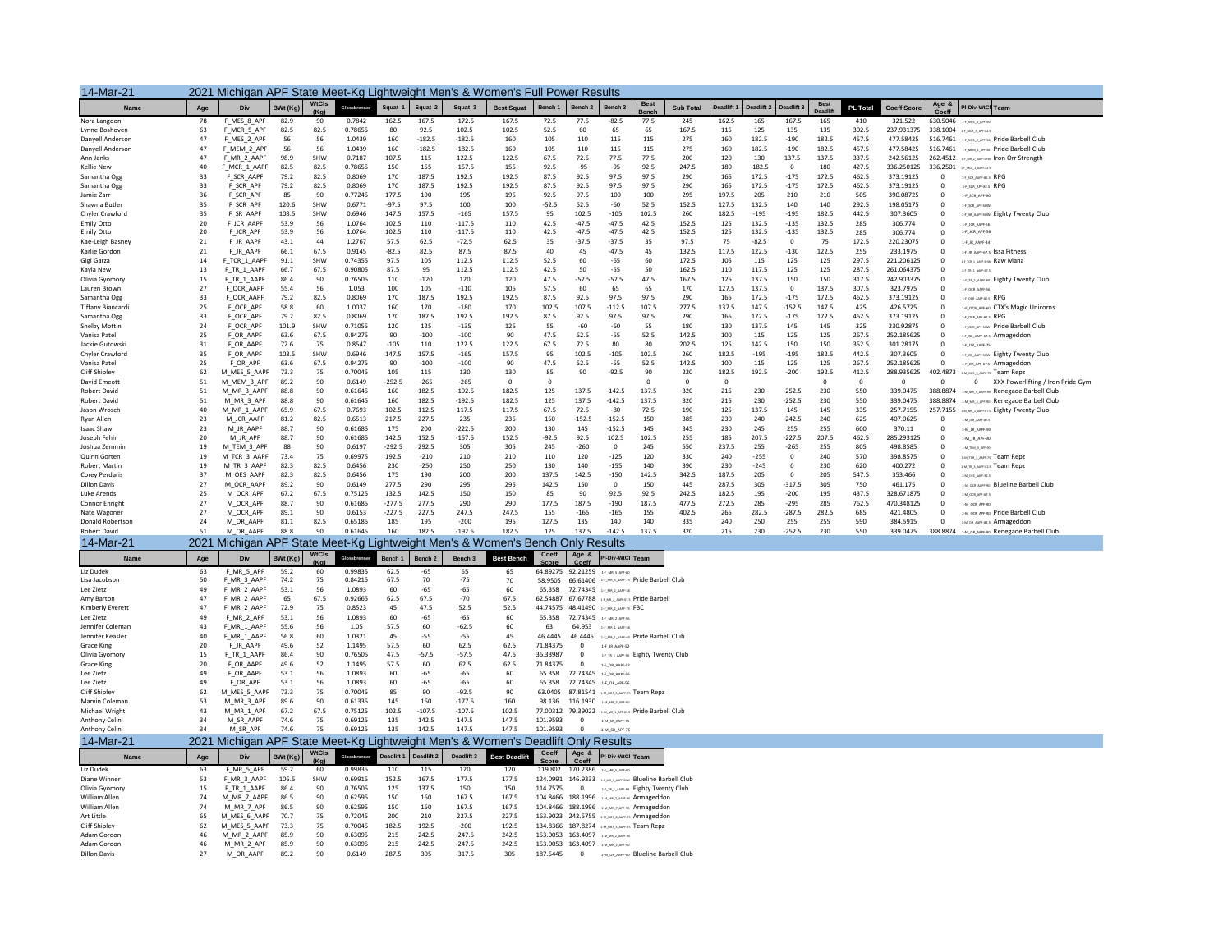| 14-Mar-21                          |           | 2021 Michigan APF State Meet-Kg Lightweight Men's & Women's Full Power Results    |              |                         |                    |                   |                    |                      |                      |                   |                                          |                                                                                         |                                  |                  |                |                 |                       |                               |                |                          |                         |                                                                     |
|------------------------------------|-----------|-----------------------------------------------------------------------------------|--------------|-------------------------|--------------------|-------------------|--------------------|----------------------|----------------------|-------------------|------------------------------------------|-----------------------------------------------------------------------------------------|----------------------------------|------------------|----------------|-----------------|-----------------------|-------------------------------|----------------|--------------------------|-------------------------|---------------------------------------------------------------------|
| <b>Name</b>                        | Age       | Div                                                                               | BWt (Kg)     | <b>WtCIs</b><br>(Ka)    | Glossbrenner       | Squat 1           | Squat 2            | Squat 3              | <b>Best Squat</b>    | Bench 1           | Bench <sub>2</sub>                       | Bench <sub>3</sub>                                                                      | <b>Best</b><br>Bencl             | <b>Sub Total</b> | Deadlift 1     |                 | Deadlift 2 Deadlift 3 | <b>Best</b><br><b>Deadlif</b> | PL Total       | <b>Coeff Score</b>       | Age &                   | PI-Div-WtCl Team                                                    |
| Nora Langdon                       | 78        | F_MES_8_APF                                                                       | 82.9         | 90                      | 0.7842             | 162.5             | 167.5              | $-172.5$             | 167.5                | 72.5              | 77.5                                     | $-82.5$                                                                                 | 77.5                             | 245              | 162.5          | 165             | $-167.5$              | 165                           | 410            | 321.522                  |                         | 630.5046 1-F, MES, R, APF-90                                        |
| Lynne Boshoven                     | 63        | F_MCR_5_APF                                                                       | 82.5         | 82.5                    | 0.78655            | 80                | 92.5               | 102.5                | 102.5                | 52.5              | 60                                       | 65                                                                                      | 65                               | 167.5            | 115            | 125             | 135                   | 135                           | 302.5          | 237.931375               |                         | 338.1004 1-F MCR 5 APF-82-5                                         |
| Danvell Anderson                   | 47        | F_MES_2_APF                                                                       | 56           | -56                     | 1.0439             | 160               | $-182.5$           | $-182.5$             | 160                  | 105               | 110                                      | 115                                                                                     | 115                              | 275              | 160            | 182.5           | $-190$                | 182.5                         | 457.5          | 477.58425                |                         | 516.7461 14,MIS,2,APF-56 Pride Barbell Club                         |
| Danvell Anderson                   | 47        | F_MEM_2_APF                                                                       | 56           | 56                      | 1.0439             | 160               | $-182.5$           | $-182.5$             | 160                  | 105               | 110                                      | 115                                                                                     | 115                              | 275              | 160            | 182.5           | $-190$                | 182.5                         | 457.5          | 477.58425                |                         | 516.7461 14, MINL2, APE 46 Pride Barbell Club                       |
| Ann Jenks<br><b>Kellie New</b>     | 47<br>40  | F_MR_2_AAPF<br>F_MCR_1_AAPF                                                       | 98.9<br>82.5 | SHW<br>82.5             | 0.7187<br>0.78655  | 107.5<br>150      | 115<br>155         | 122.5<br>$-157.5$    | 122.5<br>155         | 67.5<br>92.5      | 72.5<br>$-95$                            | 77.5<br>$-95$                                                                           | 77.5<br>92.5                     | 200<br>247.5     | 120<br>180     | 130<br>$-182.5$ | 137.5<br>$\Omega$     | 137.5<br>180                  | 337.5<br>427.5 | 242.56125<br>336.250125  |                         | 262.4512 14 MR 2 AMFGHN TON OFF Strength<br>336.2501 14, MOLLANGERS |
| Samantha Ogg                       | 33        | F_SCR_AAPF                                                                        | 79.2         | 82.5                    | 0.8069             | 170               | 187.5              | 192.5                | 192.5                | 87.5              | 92.5                                     | 97.5                                                                                    | 97.5                             | 290              | 165            | 172.5           | $-175$                | 172.5                         | 462.5          | 373.19125                | $\Omega$                | 14,500, AMP-825 RPG                                                 |
| Samantha Ogg                       | 33        | F_SCR_APF                                                                         | 79.2         | 82.5                    | 0.8069             | 170               | 187.5              | 192.5                | 192.5                | 87.5              | 92.5                                     | 97.5                                                                                    | 97.5                             | 290              | 165            | 172.5           | $-175$                | 172.5                         | 462.5          | 373.19125                | $^{\circ}$              | 14_500, APF-82.5 RPG                                                |
| Jamie Zarr                         | 36        | F SCR APF                                                                         | 85           | 90                      | 0.77245            | 177.5             | 190                | 195                  | 195                  | 92.5              | 97.5                                     | 100                                                                                     | 100                              | 295              | 197.5          | 205             | 210                   | 210                           | 505            | 390.08725                | $\Omega$                | 1-F SCR APF-90                                                      |
| Shawna Butler                      | 35        | F_SCR_APF                                                                         | 120.6        | SHW                     | 0.6771             | $-97.5$           | 97.5               | 100                  | 100                  | $-52.5$           | 52.5                                     | $-60$                                                                                   | 52.5                             | 152.5            | 127.5          | 132.5           | 140                   | 140                           | 292.5          | 198.05175                | $^{\circ}$              | 1-F_SCR_APF-SHW                                                     |
| Chyler Crawford                    | 35        | F_SR_AAPF                                                                         | 108.5        | SHW                     | 0.6946             | 147.5             | 157.5              | $-165$               | 157.5                | 95                | 102.5                                    | $-105$                                                                                  | 102.5                            | 260              | 182.5          | $-195$          | $-195$                | 182.5                         | 442.5          | 307.3605                 | $^{\circ}$              | 14_st_AAPT-SHW Eighty Twenty Club                                   |
| Emily Otto<br>Emily Otto           | 20<br>20  | F JCR AAPF<br>F JCR APF                                                           | 53.9<br>53.9 | 56<br>56                | 1.0764<br>1.0764   | 102.5<br>102.5    | 110<br>110         | $-117.5$<br>$-117.5$ | 110<br>110           | 42.5<br>42.5      | $-47.5$<br>$-47.5$                       | $-47.5$<br>$-47.5$                                                                      | 42.5<br>42.5                     | 152.5<br>152.5   | 125<br>125     | 132.5<br>132.5  | $-135$<br>$-135$      | 132.5<br>132.5                | 285<br>285     | 306.774<br>306.774       | $^{\circ}$              | 1-F JOR AAPF-56<br>1-F_JCR_APF-56                                   |
| Kae-Leigh Basney                   | 21        | F_JR_AAPF                                                                         | 43.1         | 44                      | 1.2767             | 57.5              | 62.5               | $-72.5$              | 62.5                 | 35                | $-37.5$                                  | $-37.5$                                                                                 | 35                               | 97.5             | 75             | $-82.5$         | $\Omega$              | 75                            | 172.5          | 220.23075                | $\Omega$                | 1-F.JR.AAPF-44                                                      |
| Karlie Gordon                      | $21\,$    | F_JR_AAPF                                                                         | 66.1         | 67.5                    | 0.9145             | $-82.5$           | 82.5               | 87.5                 | 87.5                 | 40                | 45                                       | $-47.5$                                                                                 | 45                               | 132.5            | 117.5          | 122.5           | $-130$                | 122.5                         | 255            | 233.1975                 | $\Omega$                | 14 JR AAPF675 ISSA Fitness                                          |
| Gigi Garza                         | 14        | F_TCR_1_AAPF                                                                      | 91.1         | SHW                     | 0.74355            | 97.5              | 105                | 112.5                | 112.5                | 52.5              | 60                                       | $-65$                                                                                   | 60                               | 172.5            | 105            | 115             | 125                   | 125                           | 297.5          | 221.206125               | $^{\circ}$              | 14,100,1,AMFGHN Raw Mana                                            |
| Kavla New                          | 13        | F_TR_1_AAPF                                                                       | 66.7         | 67.5                    | 0.90805            | 87.5              | 95                 | 112.5                | 112.5                | 42.5              | 50                                       | $-55$                                                                                   | 50                               | 162.5            | 110            | 117.5           | 125                   | 125                           | 287.5          | 261.064375               | $\Omega$                | $1 - F_{-}TR_{-}1$ , AAPF-67.5                                      |
| Olivia Gyomory                     | 15        | F_TR_1_AAPF                                                                       | 86.4         | 90                      | 0.76505            | 110               | $-120$             | 120                  | 120                  | 47.5              | $-57.5$                                  | $-57.5$                                                                                 | 47.5                             | 167.5            | 125            | 137.5           | 150                   | 150                           | 317.5          | 242.903375               | $\overline{0}$          | 14.11.1.AMF-90 Eighty Twenty Club                                   |
| Lauren Brown<br>Samantha Ogg       | 27<br>33  | F_OCR_AAPF<br>F_OCR_AAPF                                                          | 55.4<br>79.2 | -56<br>82.5             | 1.053<br>0.8069    | 100<br>170        | 105<br>187.5       | $-110$<br>192.5      | 105<br>192.5         | 57.5<br>87.5      | 60<br>92.5                               | 65<br>97.5                                                                              | 65<br>97.5                       | 170<br>290       | 127.5<br>165   | 137.5<br>172.5  | $\Omega$<br>$-175$    | 137.5<br>172.5                | 307.5<br>462.5 | 323,7975<br>373.19125    | $\Omega$<br>$\Omega$    | 1-F_OCR_AAPF-56<br>14 OCR ANPENDS RPG                               |
| <b>Tiffany Biancard</b>            | 25        | F OCR APF                                                                         | 58.8         | 60                      | 1.0037             | 160               | 170                | $-180$               | 170                  | 102.5             | 107.5                                    | $-112.5$                                                                                | 107.5                            | 277.5            | 137.5          | 147.5           | $-152.5$              | 147.5                         | 425            | 426.5725                 | $\mathbf 0$             | 1-F OCR APF-60 CTX'S Magic Unicorns                                 |
| Samantha Ogg                       | 33        | F OCR APF                                                                         | 79.2         | 82.5                    | 0.8069             | 170               | 187.5              | 192.5                | 192.5                | 87.5              | 92.5                                     | 97.5                                                                                    | 97.5                             | 290              | 165            | 172.5           | $-175$                | 172.5                         | 462.5          | 373.19125                | $\Omega$                | 1-F OCR APP-82-5 RPG                                                |
| Shelby Mottin                      | $\bf{24}$ | F_OCR_APF                                                                         | 101.9        | SHW                     | 0.71055            | 120               | 125                | $-135$               | 125                  | 55                | $-60$                                    | $-60$                                                                                   | 55                               | 180              | 130            | 137.5           | 145                   | 145                           | 325            | 230.92875                | $\Omega$                | 14,008,499 sew Pride Barbell Club                                   |
| Vanisa Patel                       | 25        | F_OR_AAPF                                                                         | 63.6         | 67.5                    | 0.94275            | 90                | $-100$             | $-100$               | 90                   | 47.5              | 52.5                                     | $-55$                                                                                   | 52.5                             | 142.5            | 100            | 115             | 125                   | 125                           | 267.5          | 252.185625               | $^{\circ}$              | 1-F.OR. AAPF-67-5 Armageddon                                        |
| Jackie Gutowski                    | 31        | F_OR_AAPF                                                                         | 72.6         | 75                      | 0.8547             | $-105$            | 110                | 122.5                | 122.5                | 67.5              | 72.5                                     | 80                                                                                      | 80                               | 202.5            | 125            | 142.5           | 150                   | 150                           | 352.5          | 301.28175                | $\Omega$                | 1-F OR AAPF-75                                                      |
| Chyler Crawford                    | 35        | F_OR_AAPF                                                                         | 108.5        | SHW                     | 0.6946             | 147.5             | 157.5              | $-165$               | 157.5                | 95                | 102.5                                    | $-105$                                                                                  | 102.5                            | 260              | 182.5          | $-195$          | $-195$                | 182.5                         | 442.5          | 307.3605                 | $^{\circ}$              | 14_08_AAPF-SHW Eighty Twenty Club                                   |
| Vanisa Patel<br>Cliff Shipley      | 25<br>62  | F_OR_APF<br>M MES 5 AAPF                                                          | 63.6<br>73.3 | 67.5<br>75              | 0.94275<br>0.70045 | 90<br>105         | $-100$<br>115      | $-100$<br>130        | 90<br>130            | 47.5<br>85        | 52.5<br>90                               | $-55$<br>$-92.5$                                                                        | 52.5<br>90                       | 142.5<br>220     | 100<br>182.5   | 115<br>192.5    | 125<br>$-200$         | 125<br>192.5                  | 267.5<br>412.5 | 252.185625<br>288.935625 | $\Omega$<br>402.4873    | 1.F_OR_APF-67.5 Armageddon<br><b>I-M MS S AMF-75 Team Repz</b>      |
| David Emeott                       | 51        | M_MEM_3_APF                                                                       | 89.2         | 90                      | 0.6149             | $-252.5$          | $-265$             | $-265$               | $^{\circ}$           | $^{\circ}$        |                                          |                                                                                         | $\mathbf 0$                      | $\mathbf 0$      | $^{\circ}$     |                 |                       | $\mathbf 0$                   | $^{\circ}$     | $^{\circ}$               | $^{\circ}$              | 0 XXX Powerlifting / Iron Pride Gym                                 |
| <b>Robert David</b>                | 51        | M_MR_3_AAPF                                                                       | 88.8         | 90                      | 0.61645            | 160               | 182.5              | $-192.5$             | 182.5                | 125               | 137.5                                    | $-142.5$                                                                                | 137.5                            | 320              | 215            | 230             | $-252.5$              | 230                           | 550            | 339.0475                 |                         | 388.8874 1-M,MR,3,AMF-90 Renegade Barbell Club                      |
| Robert David                       | 51        | M_MR_3_APF                                                                        | 88.8         | 90                      | 0.61645            | 160               | 182.5              | $-192.5$             | 182.5                | 125               | 137.5                                    | $-142.5$                                                                                | 137.5                            | 320              | 215            | 230             | $-252.5$              | 230                           | 550            | 339.0475                 |                         | 388.8874 1-M,MR,3,APF-90 Renegade Barbell Club                      |
| Jason Wrosch                       | 40        | M_MR_1_AAPF                                                                       | 65.9         | 67.5                    | 0.7693             | 102.5             | 112.5              | 117.5                | 117.5                | 67.5              | 72.5                                     | $-80$                                                                                   | 72.5                             | 190              | 125            | 137.5           | 145                   | 145                           | 335            | 257.7155                 | 257.7155                | <b>IMMALMEDS Eighty Twenty Club</b>                                 |
| Rvan Allen                         | 23        | M_JCR_AAPF                                                                        | 81.2         | 82.5                    | 0.6513             | 217.5             | 227.5              | 235                  | 235                  | 150               | $-152.5$                                 | $-152.5$                                                                                | 150                              | 385              | 230            | 240             | $-242.5$              | 240                           | 625            | 407.0625                 | $\Omega$                | 1-M ICR ANRESZS                                                     |
| <b>Isaac Shaw</b>                  | 23<br>20  | M_JR_AAPF                                                                         | 88.7<br>88.7 | 90<br>90                | 0.61685<br>0.61685 | 175<br>142.5      | 200<br>152.5       | $-222.5$<br>$-157.5$ | 200<br>152.5         | 130<br>$-92.5$    | 145                                      | $-152.5$<br>102.5                                                                       | 145<br>102.5                     | 345<br>255       | 230<br>185     | 245<br>207.5    | 255<br>$-227.5$       | 255<br>207.5                  | 600<br>462.5   | 370.11<br>285.293125     | $\mathbf 0$<br>$\Omega$ | 1-M_JR_AAPF-90                                                      |
| Joseph Fehir<br>Joshua Zemmin      | 19        | M_JR_APF<br>M_TEM_3_APF                                                           | 88           | 90                      | 0.6197             | $-292.5$          | 292.5              | 305                  | 305                  | 245               | 92.5<br>$-260$                           | $\overline{0}$                                                                          | 245                              | 550              | 237.5          | 255             | $-265$                | 255                           | 805            | 498.8585                 | $\Omega$                | 1-M_JR_APF-90<br>1-M TEM 3 APP-90                                   |
| Quinn Gorten                       | 19        | M_TCR_3_AAPF                                                                      | 73.4         | 75                      | 0.69975            | 192.5             | $-210$             | 210                  | 210                  | 110               | 120                                      | $-125$                                                                                  | 120                              | 330              | 240            | $-255$          | $^{\circ}$            | 240                           | 570            | 398.8575                 | $^{\circ}$              | SALTOLA, AARLES Team Repz                                           |
| <b>Robert Martin</b>               | 19        | M_TR_3_AAPF                                                                       | 82.3         | 82.5                    | 0.6456             | 230               | $-250$             | 250                  | 250                  | 130               | 140                                      | $-155$                                                                                  | 140                              | 390              | 230            | $-245$          | $\Omega$              | 230                           | 620            | 400.272                  | $\overline{0}$          | <b>IM.TR.A.AMPER2.5 Team Repz</b>                                   |
| <b>Corey Perdaris</b>              | 37        | M_OES_AAPF                                                                        | 82.3         | 82.5                    | 0.6456             | 175               | 190                | 200                  | 200                  | 137.5             | 142.5                                    | $-150$                                                                                  | 142.5                            | 342.5            | 187.5          | 205             | $\Omega$              | 205                           | 547.5          | 353.466                  | $\Omega$                | 1-M OES ANDE-82.5                                                   |
| <b>Dillon Davis</b>                | 27        | M_OCR_AAPF                                                                        | 89.2         | 90                      | 0.6149             | 277.5             | 290                | 295                  | 295                  | 142.5             | 150                                      | $\mathbf 0$                                                                             | 150                              | 445              | 287.5          | 305             | $-317.5$              | 305                           | 750            | 461.175                  | $^{\circ}$              | 1-M_OCR_AAPF-90 Blueline Barbell Club                               |
| Luke Arends<br>Connor Enright      | 25<br>27  | M_OCR_APF<br>M_OCR_APF                                                            | 67.2<br>88.7 | 67.5<br>90              | 0.75125<br>0.61685 | 132.5<br>$-277.5$ | 142.5<br>277.5     | 150<br>290           | 150<br>290           | 85<br>177.5       | 90<br>187.5                              | 92.5<br>$-190$                                                                          | 92.5<br>187.5                    | 242.5<br>477.5   | 182.5<br>272.5 | 195<br>285      | $-200$<br>$-295$      | 195<br>285                    | 437.5<br>762.5 | 328.671875<br>470.348125 | $\Omega$<br>$^{\circ}$  | $1-M\_OCR\_APF-67.5$                                                |
| Nate Wagoner                       | 27        | M_OCR_APF                                                                         | 89.1         | 90                      | 0.6153             | $-227.5$          | 227.5              | 247.5                | 247.5                | 155               | $-165$                                   | $-165$                                                                                  | 155                              | 402.5            | 265            | 282.5           | $-287.5$              | 282.5                         | 685            | 421.4805                 | $^{\circ}$              | 1-M_OCR_APF-90<br>2-M_OCR_APF-90 Pride Barbell Club                 |
| <b>Donald Robertson</b>            | 24        | M OR AAPF                                                                         | 81.1         | 82.5                    | 0.65185            | 185               | 195                | $-200$               | 195                  | 127.5             | 135                                      | 140                                                                                     | 140                              | 335              | 240            | 250             | 255                   | 255                           | 590            | 384.5915                 | $\Omega$                | 1-M OR AMF-82.5 Armageddon                                          |
| <b>Robert David</b>                | 51        | M_OR_AAPF                                                                         | 88.8         | 90                      | 0.61645            | 160               | 182.5              | $-192.5$             | 182.5                | 125               | 137.5                                    | $-142.5$                                                                                | 137.5                            | 320              | 215            | 230             | $-252.5$              | 230                           | 550            | 339.0475                 |                         | 388.8874 1-M_OR_AAPF-90 Renegade Barbell Club                       |
| 14-Mar-21                          |           | 2021 Michigan APF State Meet-Kg Lightweight Men's & Women's Bench Only Results    |              |                         |                    |                   |                    |                      |                      |                   |                                          |                                                                                         |                                  |                  |                |                 |                       |                               |                |                          |                         |                                                                     |
| Name                               | Age       | Div                                                                               | BWt (Kg)     | WtCls                   | Glossbrenner       | Bench 1           | Bench <sub>2</sub> | Bench 3              | <b>Best Bench</b>    | Coeff             | Age $8$                                  | PI-Div-WtCl Team                                                                        |                                  |                  |                |                 |                       |                               |                |                          |                         |                                                                     |
| Liz Dudek                          | 63        | F_MR_5_APF                                                                        | 59.2         | (K <sub>0</sub> )<br>60 | 0.99835            | 62.5              | $-65$              | 65                   | 65                   |                   | Coeff<br>64.89275 92.21259 14.MLS.APR-00 |                                                                                         |                                  |                  |                |                 |                       |                               |                |                          |                         |                                                                     |
| Lisa Jacobson                      | 50        | F_MR_3_AAPF                                                                       | 74.2         | 75                      | 0.84215            | 67.5              | 70                 | $-75$                | 70                   |                   |                                          | 58.9505 66.61406 14.MR.3.AMF-75 Pride Barbell Club                                      |                                  |                  |                |                 |                       |                               |                |                          |                         |                                                                     |
| Lee Zietz                          | 49        | F_MR_2_AAPF                                                                       | 53.1         | 56                      | 1.0893             | 60                | $-65$              | $-65$                | 60                   | 65.358            |                                          | 72.74345 14, мк, 2, мит-за                                                              |                                  |                  |                |                 |                       |                               |                |                          |                         |                                                                     |
| Amy Barton                         | 47        | F_MR_2_AAPF                                                                       | 65           | 67.5                    | 0.92665            | 62.5              | 67.5               | $-70$                | 67.5                 |                   |                                          | 62.54887 67.67788 14, MR.2, AMF47.5 Pride Barbell                                       |                                  |                  |                |                 |                       |                               |                |                          |                         |                                                                     |
| Kimberly Everett                   | 47        | F_MR_2_AAPF                                                                       | 72.9         | 75                      | 0.8523             | 45                | 47.5               | 52.5                 | 52.5                 |                   |                                          | 44.74575 48.41490 14 MR 2 ANY-75 FBC                                                    |                                  |                  |                |                 |                       |                               |                |                          |                         |                                                                     |
| Lee Zietz<br>Jennifer Coleman      | 49<br>43  | F_MR_2_APF                                                                        | 53.1<br>55.6 | 56<br>56                | 1.0893<br>1.05     | 60<br>57.5        | $-65$<br>60        | $-65$<br>$-62.5$     | 60<br>60             | 65.358<br>63      |                                          | 72.74345 14.ML2.APESS<br>64.953 14 MR 1 ANY-50                                          |                                  |                  |                |                 |                       |                               |                |                          |                         |                                                                     |
| Jennifer Keasler                   | 40        | F_MR_1_AAPF<br>F_MR_1_AAPF                                                        | 56.8         | 60                      | 1.0321             | 45                | $-55$              | $-55$                | 45                   | 46.4445           |                                          | 46.4445 14 MR 1 ANY-60 Pride Barbell Club                                               |                                  |                  |                |                 |                       |                               |                |                          |                         |                                                                     |
| Grace King                         | 20        | F JR AAPF                                                                         | 49.6         | 52                      | 1.1495             | 57.5              | 60                 | 62.5                 | 62.5                 | 71.84375          | $\mathbf{0}$                             | 1-F_JR_AAPF-52                                                                          |                                  |                  |                |                 |                       |                               |                |                          |                         |                                                                     |
| Olivia Gvomory                     | 15        | F TR 1 AAPF                                                                       | 86.4         | 90                      | 0.76505            | 47.5              | $-57.5$            | $-57.5$              | 47.5                 | 36.33987          | $^{\circ}$                               |                                                                                         | 14 B 1 ANY-90 Eighty Twenty Club |                  |                |                 |                       |                               |                |                          |                         |                                                                     |
| <b>Grace King</b>                  | 20        | F_OR_AAPF                                                                         | 49.6         | 52                      | 1.1495             | 57.5              | 60                 | 62.5                 | 62.5                 | 71.84375          | $\mathbf 0$                              | 1-F_OR_AAPF-52                                                                          |                                  |                  |                |                 |                       |                               |                |                          |                         |                                                                     |
| Lee Zietz                          | 49        | F_OR_AAPF                                                                         | 53.1         | 56                      | 1.0893             | 60                | $-65$              | $-65$                | 60                   | 65.358            | 72.74345 1-F.O.R. AAPF-56                |                                                                                         |                                  |                  |                |                 |                       |                               |                |                          |                         |                                                                     |
| Lee Zietz<br>Cliff Shipley         | 49<br>62  | F_OR_APF                                                                          | 53.1         | 56                      | 1.0893<br>0.70045  | 60<br>85          | $-65$<br>90        | $-65$                | 60<br>90             | 65.358<br>63.0405 |                                          | 72.74345 1F_OR_APF-56                                                                   |                                  |                  |                |                 |                       |                               |                |                          |                         |                                                                     |
| Marvin Coleman                     | 53        | M_MES_5_AAPF<br>M_MR_3_APF                                                        | 73.3<br>89.6 | 75<br>90                | 0.61335            | 145               | 160                | $-92.5$<br>$-177.5$  | 160                  | 98.136            |                                          | 87.81541 1M, MS, S, ANF-75 Team Repz<br>116.1930 LM MR 3 APP-90                         |                                  |                  |                |                 |                       |                               |                |                          |                         |                                                                     |
| Michael Wright                     | 43        | M_MR_1_APF                                                                        | 67.2         | 67.5                    | 0.75125            | 102.5             | $-107.5$           | $-107.5$             | 102.5                | 77.00312          |                                          | 79.39022 IMMR LAPEGES Pride Barbell Club                                                |                                  |                  |                |                 |                       |                               |                |                          |                         |                                                                     |
| Anthony Celini                     | 34        | M SR AAPF                                                                         | 74.6         | 75                      | 0.69125            | 135               | 142.5              | 147.5                | 147.5                | 101.9593          | $^{\circ}$                               | 1-M_SR_AAPF-75                                                                          |                                  |                  |                |                 |                       |                               |                |                          |                         |                                                                     |
| Anthony Celini                     | 34        | M SR APF                                                                          | 74.6         | 75                      | 0.69125            | 135               | 142.5              | 147.5                | 147.5                | 101.9593          | $\Omega$                                 | 1-M SR APF-75                                                                           |                                  |                  |                |                 |                       |                               |                |                          |                         |                                                                     |
| 14-Mar-21                          |           | 2021 Michigan APF State Meet-Kg Lightweight Men's & Women's Deadlift Only Results |              | WtCls                   |                    |                   |                    |                      |                      | Coeff             | Age &                                    |                                                                                         |                                  |                  |                |                 |                       |                               |                |                          |                         |                                                                     |
| Name                               | Age       | Div                                                                               | BWt (Kg)     | (Ka)                    | Glorehranna        | Deadlift 1        | Deadlift 2         | Deadlift 3           | <b>Best Deadlift</b> | Score             | Coeff                                    | PI-Div-WtCl Team                                                                        |                                  |                  |                |                 |                       |                               |                |                          |                         |                                                                     |
| Liz Dudek                          | 63        | F_MR_5_APF                                                                        | 59.2         | 60                      | 0.99835            | 110               | 115                | 120                  | 120                  |                   | 119.802 170.2386 14 MR.5 APT-60          |                                                                                         |                                  |                  |                |                 |                       |                               |                |                          |                         |                                                                     |
| Diane Winner                       | 53        | F_MR_3_AAPF                                                                       | 106.5        | SHW                     | 0.69915            | 152.5             | 167.5              | 177.5                | 177.5                |                   |                                          | 124.0991 146.9333 14 MR 3 MPF SHW Blueline Barbell Club                                 |                                  |                  |                |                 |                       |                               |                |                          |                         |                                                                     |
| Olivia Gyomory<br>William Allen    | 15<br>74  | F_TR_1_AAPF<br>M_MR_7_AAPF                                                        | 86.4<br>86.5 | 90<br>90                | 0.76505<br>0.62595 | 125<br>150        | 137.5<br>160       | 150<br>167.5         | 150<br>167.5         | 114,7575          |                                          | 0 14, 11, 2, AMF-90 Eighty Twenty Club<br>104.8466 188.1996 : M.MR.7, AMF-90 Armageddon |                                  |                  |                |                 |                       |                               |                |                          |                         |                                                                     |
| William Allen                      | 74        | M_MR_7_APF                                                                        | 86.5         | 90                      | 0.62595            | 150               | 160                | 167.5                | 167.5                |                   |                                          | 104.8466 188.1996 1M.MR.7.APF-90 Armageddor                                             |                                  |                  |                |                 |                       |                               |                |                          |                         |                                                                     |
| Art Little                         | 65        | M_MES_6_AAPF                                                                      | 70.7         | 75                      | 0.72045            | 200               | 210                | 227.5                | 227.5                |                   |                                          | 163.9023 242.5755 1-M MSS 6 AMP-75 Armageddor                                           |                                  |                  |                |                 |                       |                               |                |                          |                         |                                                                     |
| Cliff Shipley                      | 62        | M_MES_5_AAPF                                                                      | 73.3         | 75                      | 0.70045            | 182.5             | 192.5              | $-200$               | 192.5                |                   |                                          | 134.8366 187.8274 1MLMES JAME-75 Team Repz                                              |                                  |                  |                |                 |                       |                               |                |                          |                         |                                                                     |
| Adam Gordon                        | 46        | M MR 2 AAPF                                                                       | 85.9         | 90                      | 0.63095            | 215               | 242.5              | $-247.5$             | 242.5                |                   |                                          | 153.0053 163.4097 <b>MARIAL</b> AMEND                                                   |                                  |                  |                |                 |                       |                               |                |                          |                         |                                                                     |
| Adam Gordon<br><b>Dillon Davis</b> | 46        | M_MR_2_APF                                                                        | 85.9         | 90                      | 0.63095            | 215<br>287.5      | 242.5              | $-247.5$             | 242.5                |                   |                                          | 153.0053 163.4097 1M,MR.2,APF-90                                                        |                                  |                  |                |                 |                       |                               |                |                          |                         |                                                                     |
|                                    | 27        | M OR AAPF                                                                         | 89.2         | 90                      | 0.6149             |                   | 305                | $-317.5$             | 305                  | 187.5445          | $\Omega$                                 | 1-M_OR_AAPF-90 Blueline Barbell Club                                                    |                                  |                  |                |                 |                       |                               |                |                          |                         |                                                                     |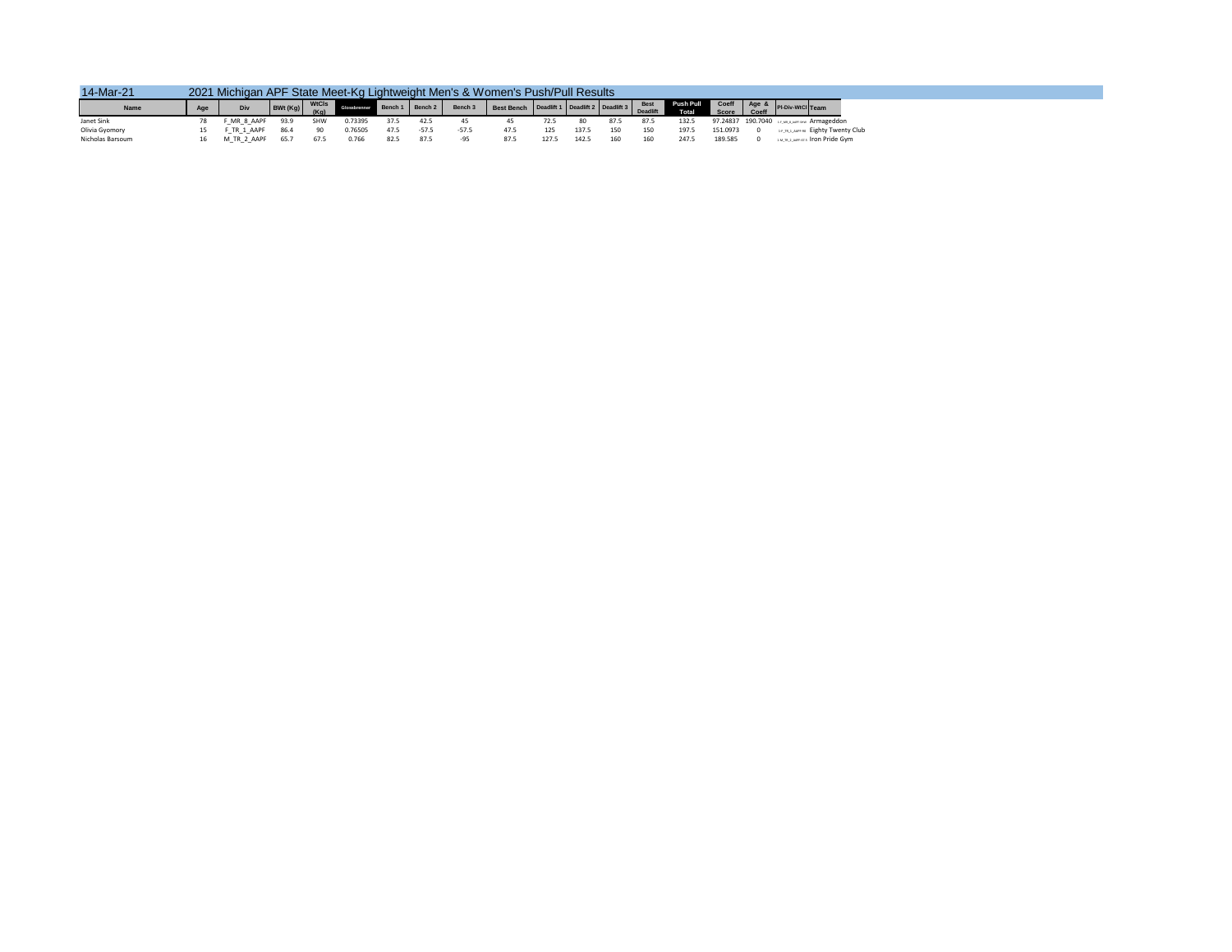| 14-Mar-21        |    | 2021 Michigan APF State Meet-Kg Lightweight Men's & Women's Push/Pull Results |      |      |         |           |         |         |      |       |           |      |      |       |         |                                                                                                                                  |
|------------------|----|-------------------------------------------------------------------------------|------|------|---------|-----------|---------|---------|------|-------|-----------|------|------|-------|---------|----------------------------------------------------------------------------------------------------------------------------------|
| Name             |    | Div                                                                           |      |      |         |           |         |         |      |       |           |      |      |       |         | BWt(Kg) WICIS Gessbenner Bonch Bench 2 Bench 3 Best Bench Deadlift Deadlift Deadlift Best Push Pull Coeff Age & Pi-Div-WICI Team |
| Janet Sink       |    | F MR 8 AAPF 93.9                                                              |      | SHW  | 0.73395 | 37.5 42.5 |         |         |      | 72.5  | 80        | 87.5 | 87.5 | 132.5 |         | 97.24837 190.7040 14 JULEAN Armageddon                                                                                           |
| Olivia Gyomory   | 15 | F TR 1 AAPF 86.4                                                              |      | 90   | 0.76505 |           | $-57.5$ | $-57.5$ | 47.5 | 125   | 137.5 150 |      | 150  | 197.5 |         | 151.0973 0 14.18.1, WPF-90 Eighty Twenty Club                                                                                    |
| Nicholas Barsoum |    | M TR 2 AAPF                                                                   | 65.7 | 67.5 | 0.766   | 82.5      | 87.5    | -95     | 87.5 | 127.5 | 142.5     | 160  | 160  | 247.5 | 189.585 | <b>EM TRIZ ANPENTS TOO Pride Gym</b>                                                                                             |